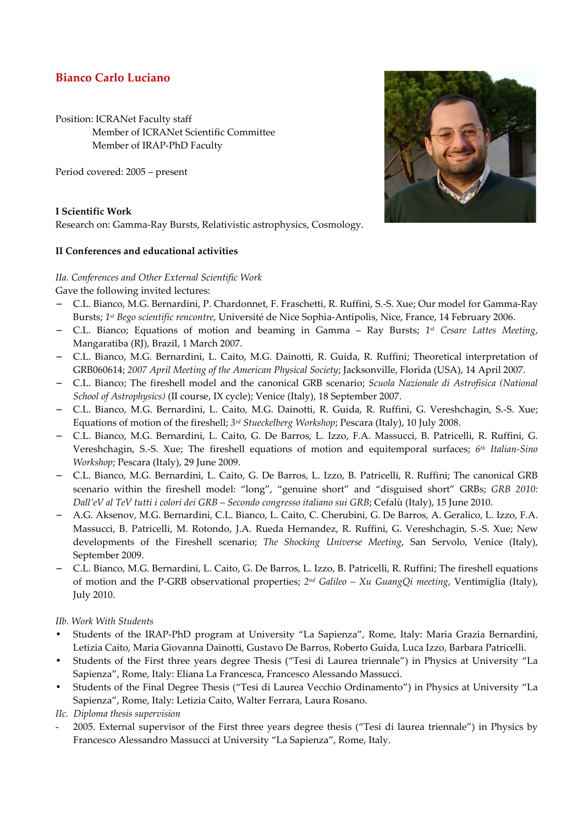### **Bianco Carlo Luciano**

Position: ICRANet Faculty staff Member of ICRANet Scientific Committee Member of IRAP-PhD Faculty

Period covered: 2005 – present

# **I Scientific Work**

Research on: Gamma-Ray Bursts, Relativistic astrophysics, Cosmology.

#### **II Conferences and educational activities**

## *IIa. Conferences and Other External Scientific Work*

Gave the following invited lectures:

- − C.L. Bianco, M.G. Bernardini, P. Chardonnet, F. Fraschetti, R. Ruffini, S.-S. Xue; Our model for Gamma-Ray Bursts; *1 st Bego scientific rencontre*, Université de Nice Sophia-Antipolis, Nice, France, 14 February 2006.
- − C.L. Bianco; Equations of motion and beaming in Gamma Ray Bursts; *1 st Cesare Lattes Meeting*, Mangaratiba (RJ), Brazil, 1 March 2007.
- − C.L. Bianco, M.G. Bernardini, L. Caito, M.G. Dainotti, R. Guida, R. Ruffini; Theoretical interpretation of GRB060614; *2007 April Meeting of the American Physical Society*; Jacksonville, Florida (USA), 14 April 2007.
- − C.L. Bianco; The fireshell model and the canonical GRB scenario; *Scuola Nazionale di Astrofisica (National School of Astrophysics)* (II course, IX cycle); Venice (Italy), 18 September 2007.
- − C.L. Bianco, M.G. Bernardini, L. Caito, M.G. Dainotti, R. Guida, R. Ruffini, G. Vereshchagin, S.-S. Xue; Equations of motion of the fireshell; *3 rd Stueckelberg Workshop*; Pescara (Italy), 10 July 2008.
- − C.L. Bianco, M.G. Bernardini, L. Caito, G. De Barros, L. Izzo, F.A. Massucci, B. Patricelli, R. Ruffini, G. Vereshchagin, S.-S. Xue; The fireshell equations of motion and equitemporal surfaces; *6 th Italian-Sino Workshop*; Pescara (Italy), 29 June 2009.
- − C.L. Bianco, M.G. Bernardini, L. Caito, G. De Barros, L. Izzo, B. Patricelli, R. Ruffini; The canonical GRB scenario within the fireshell model: "long", "genuine short" and "disguised short" GRBs; *GRB 2010: Dall'eV al TeV tutti i colori dei GRB – Secondo congresso italiano sui GRB*; Cefalù (Italy), 15 June 2010.
- − A.G. Aksenov, M.G. Bernardini, C.L. Bianco, L. Caito, C. Cherubini, G. De Barros, A. Geralico, L. Izzo, F.A. Massucci, B. Patricelli, M. Rotondo, J.A. Rueda Hernandez, R. Ruffini, G. Vereshchagin, S.-S. Xue; New developments of the Fireshell scenario; *The Shocking Universe Meeting*, San Servolo, Venice (Italy), September 2009.
- − C.L. Bianco, M.G. Bernardini, L. Caito, G. De Barros, L. Izzo, B. Patricelli, R. Ruffini; The fireshell equations of motion and the P-GRB observational properties; *2 nd Galileo – Xu GuangQi meeting*, Ventimiglia (Italy), July 2010.

*IIb. Work With Students* 

- Students of the IRAP-PhD program at University "La Sapienza", Rome, Italy: Maria Grazia Bernardini, Letizia Caito, Maria Giovanna Dainotti, Gustavo De Barros, Roberto Guida, Luca Izzo, Barbara Patricelli.
- Students of the First three years degree Thesis ("Tesi di Laurea triennale") in Physics at University "La Sapienza", Rome, Italy: Eliana La Francesca, Francesco Alessando Massucci.
- Students of the Final Degree Thesis ("Tesi di Laurea Vecchio Ordinamento") in Physics at University "La Sapienza", Rome, Italy: Letizia Caito, Walter Ferrara, Laura Rosano.

*IIc. Diploma thesis supervision* 

- 2005. External supervisor of the First three years degree thesis ("Tesi di laurea triennale") in Physics by Francesco Alessandro Massucci at University "La Sapienza", Rome, Italy.

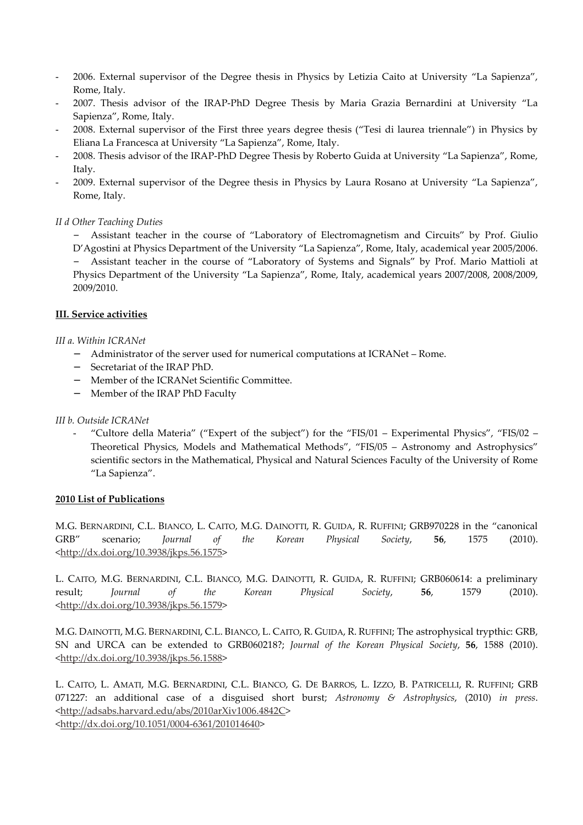- 2006. External supervisor of the Degree thesis in Physics by Letizia Caito at University "La Sapienza", Rome, Italy.
- 2007. Thesis advisor of the IRAP-PhD Degree Thesis by Maria Grazia Bernardini at University "La Sapienza", Rome, Italy.
- 2008. External supervisor of the First three years degree thesis ("Tesi di laurea triennale") in Physics by Eliana La Francesca at University "La Sapienza", Rome, Italy.
- 2008. Thesis advisor of the IRAP-PhD Degree Thesis by Roberto Guida at University "La Sapienza", Rome, Italy.
- 2009. External supervisor of the Degree thesis in Physics by Laura Rosano at University "La Sapienza", Rome, Italy.

#### *II d Other Teaching Duties*

− Assistant teacher in the course of "Laboratory of Electromagnetism and Circuits" by Prof. Giulio D'Agostini at Physics Department of the University "La Sapienza", Rome, Italy, academical year 2005/2006. − Assistant teacher in the course of "Laboratory of Systems and Signals" by Prof. Mario Mattioli at Physics Department of the University "La Sapienza", Rome, Italy, academical years 2007/2008, 2008/2009, 2009/2010.

#### **III. Service activities**

#### *III a. Within ICRANet*

- − Administrator of the server used for numerical computations at ICRANet Rome.
- − Secretariat of the IRAP PhD.
- − Member of the ICRANet Scientific Committee.
- Member of the IRAP PhD Faculty

#### *III b. Outside ICRANet*

- "Cultore della Materia" ("Expert of the subject") for the "FIS/01 – Experimental Physics", "FIS/02 – Theoretical Physics, Models and Mathematical Methods", "FIS/05 – Astronomy and Astrophysics" scientific sectors in the Mathematical, Physical and Natural Sciences Faculty of the University of Rome "La Sapienza".

#### **2010 List of Publications**

M.G. BERNARDINI, C.L. BIANCO, L. CAITO, M.G. DAINOTTI, R. GUIDA, R. RUFFINI; GRB970228 in the "canonical GRB" scenario; *Journal of the Korean Physical Society*, **56**, 1575 (2010). <http://dx.doi.org/10.3938/jkps.56.1575>

L. CAITO, M.G. BERNARDINI, C.L. BIANCO, M.G. DAINOTTI, R. GUIDA, R. RUFFINI; GRB060614: a preliminary result; *Journal of the Korean Physical Society*, **56**, 1579 (2010). <http://dx.doi.org/10.3938/jkps.56.1579>

M.G. DAINOTTI, M.G. BERNARDINI, C.L. BIANCO, L. CAITO, R. GUIDA, R. RUFFINI; The astrophysical trypthic: GRB, SN and URCA can be extended to GRB060218?; *Journal of the Korean Physical Society*, **56**, 1588 (2010). <http://dx.doi.org/10.3938/jkps.56.1588>

L. CAITO, L. AMATI, M.G. BERNARDINI, C.L. BIANCO, G. DE BARROS, L. IZZO, B. PATRICELLI, R. RUFFINI; GRB 071227: an additional case of a disguised short burst; *Astronomy & Astrophysics*, (2010) *in press*. <http://adsabs.harvard.edu/abs/2010arXiv1006.4842C> <http://dx.doi.org/10.1051/0004-6361/201014640>